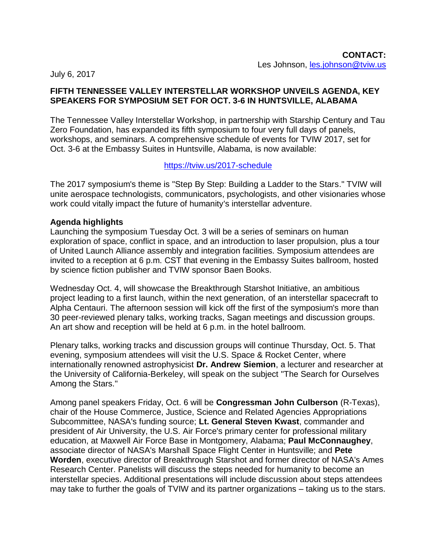July 6, 2017

## **FIFTH TENNESSEE VALLEY INTERSTELLAR WORKSHOP UNVEILS AGENDA, KEY SPEAKERS FOR SYMPOSIUM SET FOR OCT. 3-6 IN HUNTSVILLE, ALABAMA**

The Tennessee Valley Interstellar Workshop, in partnership with Starship Century and Tau Zero Foundation, has expanded its fifth symposium to four very full days of panels, workshops, and seminars. A comprehensive schedule of events for TVIW 2017, set for Oct. 3-6 at the Embassy Suites in Huntsville, Alabama, is now available:

## <https://tviw.us/2017-schedule>

The 2017 symposium's theme is "Step By Step: Building a Ladder to the Stars." TVIW will unite aerospace technologists, communicators, psychologists, and other visionaries whose work could vitally impact the future of humanity's interstellar adventure.

# **Agenda highlights**

Launching the symposium Tuesday Oct. 3 will be a series of seminars on human exploration of space, conflict in space, and an introduction to laser propulsion, plus a tour of United Launch Alliance assembly and integration facilities. Symposium attendees are invited to a reception at 6 p.m. CST that evening in the Embassy Suites ballroom, hosted by science fiction publisher and TVIW sponsor Baen Books.

Wednesday Oct. 4, will showcase the Breakthrough Starshot Initiative, an ambitious project leading to a first launch, within the next generation, of an interstellar spacecraft to Alpha Centauri. The afternoon session will kick off the first of the symposium's more than 30 peer-reviewed plenary talks, working tracks, Sagan meetings and discussion groups. An art show and reception will be held at 6 p.m. in the hotel ballroom.

Plenary talks, working tracks and discussion groups will continue Thursday, Oct. 5. That evening, symposium attendees will visit the U.S. Space & Rocket Center, where internationally renowned astrophysicist **Dr. Andrew Siemion**, a lecturer and researcher at the University of California-Berkeley, will speak on the subject "The Search for Ourselves Among the Stars."

Among panel speakers Friday, Oct. 6 will be **Congressman John Culberson** (R-Texas), chair of the House Commerce, Justice, Science and Related Agencies Appropriations Subcommittee, NASA's funding source; **Lt. General Steven Kwast**, commander and president of Air University, the U.S. Air Force's primary center for professional military education, at Maxwell Air Force Base in Montgomery, Alabama; **Paul McConnaughey**, associate director of NASA's Marshall Space Flight Center in Huntsville; and **Pete Worden**, executive director of Breakthrough Starshot and former director of NASA's Ames Research Center. Panelists will discuss the steps needed for humanity to become an interstellar species. Additional presentations will include discussion about steps attendees may take to further the goals of TVIW and its partner organizations – taking us to the stars.